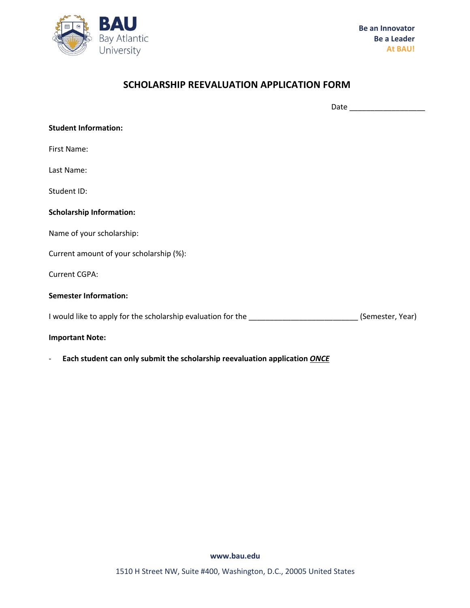

## **SCHOLARSHIP REEVALUATION APPLICATION FORM**

Date \_\_\_\_\_\_\_\_\_\_\_\_\_\_\_\_\_\_

| <b>Student Information:</b>                                                      |                  |
|----------------------------------------------------------------------------------|------------------|
| First Name:                                                                      |                  |
| Last Name:                                                                       |                  |
| Student ID:                                                                      |                  |
| <b>Scholarship Information:</b>                                                  |                  |
| Name of your scholarship:                                                        |                  |
| Current amount of your scholarship (%):                                          |                  |
| <b>Current CGPA:</b>                                                             |                  |
| <b>Semester Information:</b>                                                     |                  |
| I would like to apply for the scholarship evaluation for the ___________________ | (Semester, Year) |
| <b>Important Note:</b>                                                           |                  |

- **Each student can only submit the scholarship reevaluation application** *ONCE*

**www.bau.edu**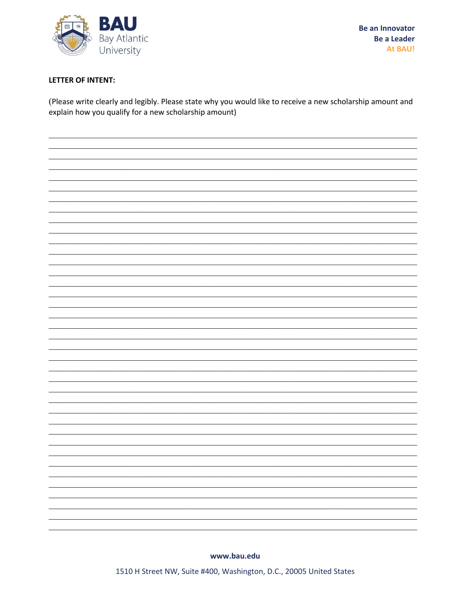

## **LETTER OF INTENT:**

(Please write clearly and legibly. Please state why you would like to receive a new scholarship amount and explain how you qualify for a new scholarship amount)



www.bau.edu

1510 H Street NW, Suite #400, Washington, D.C., 20005 United States